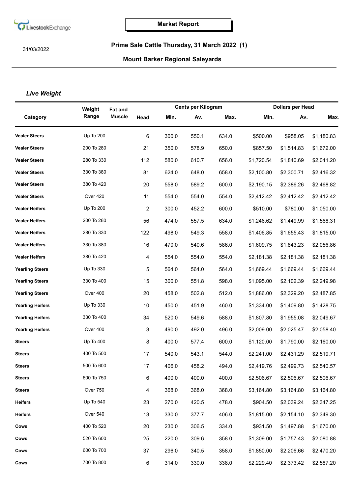

31/03/2022

## **Prime Sale Cattle Thursday, 31 March 2022 (1)**

## **Mount Barker Regional Saleyards**

## *Live Weight*

|                         | Weight           | <b>Fat and</b> |                |       | <b>Cents per Kilogram</b> |       | <b>Dollars per Head</b> |            |            |
|-------------------------|------------------|----------------|----------------|-------|---------------------------|-------|-------------------------|------------|------------|
| Category                | Range            | <b>Muscle</b>  | Head           | Min.  | Av.                       | Max.  | Min.                    | Av.        | <b>Max</b> |
| <b>Vealer Steers</b>    | <b>Up To 200</b> |                | 6              | 300.0 | 550.1                     | 634.0 | \$500.00                | \$958.05   | \$1,180.83 |
| <b>Vealer Steers</b>    | 200 To 280       |                | 21             | 350.0 | 578.9                     | 650.0 | \$857.50                | \$1,514.83 | \$1,672.00 |
| <b>Vealer Steers</b>    | 280 To 330       |                | 112            | 580.0 | 610.7                     | 656.0 | \$1,720.54              | \$1,840.69 | \$2,041.20 |
| <b>Vealer Steers</b>    | 330 To 380       |                | 81             | 624.0 | 648.0                     | 658.0 | \$2,100.80              | \$2,300.71 | \$2,416.32 |
| <b>Vealer Steers</b>    | 380 To 420       |                | 20             | 558.0 | 589.2                     | 600.0 | \$2,190.15              | \$2,386.26 | \$2,468.82 |
| <b>Vealer Steers</b>    | Over 420         |                | 11             | 554.0 | 554.0                     | 554.0 | \$2,412.42              | \$2,412.42 | \$2,412.42 |
| <b>Vealer Heifers</b>   | Up To 200        |                | 2              | 300.0 | 452.2                     | 600.0 | \$510.00                | \$780.00   | \$1,050.00 |
| <b>Vealer Heifers</b>   | 200 To 280       |                | 56             | 474.0 | 557.5                     | 634.0 | \$1,246.62              | \$1,449.99 | \$1,568.31 |
| <b>Vealer Heifers</b>   | 280 To 330       |                | 122            | 498.0 | 549.3                     | 558.0 | \$1,406.85              | \$1,655.43 | \$1,815.00 |
| <b>Vealer Heifers</b>   | 330 To 380       |                | 16             | 470.0 | 540.6                     | 586.0 | \$1,609.75              | \$1,843.23 | \$2,056.86 |
| <b>Vealer Heifers</b>   | 380 To 420       |                | 4              | 554.0 | 554.0                     | 554.0 | \$2,181.38              | \$2,181.38 | \$2,181.38 |
| <b>Yearling Steers</b>  | Up To 330        |                | 5              | 564.0 | 564.0                     | 564.0 | \$1,669.44              | \$1,669.44 | \$1,669.44 |
| <b>Yearling Steers</b>  | 330 To 400       |                | 15             | 300.0 | 551.8                     | 598.0 | \$1,095.00              | \$2,102.39 | \$2,249.98 |
| <b>Yearling Steers</b>  | Over 400         |                | 20             | 458.0 | 502.8                     | 512.0 | \$1,886.00              | \$2,329.20 | \$2,487.85 |
| <b>Yearling Heifers</b> | Up To 330        |                | 10             | 450.0 | 451.9                     | 460.0 | \$1,334.00              | \$1,409.80 | \$1,428.75 |
| <b>Yearling Heifers</b> | 330 To 400       |                | 34             | 520.0 | 549.6                     | 588.0 | \$1,807.80              | \$1,955.08 | \$2,049.67 |
| <b>Yearling Heifers</b> | Over 400         |                | 3              | 490.0 | 492.0                     | 496.0 | \$2,009.00              | \$2,025.47 | \$2,058.40 |
| <b>Steers</b>           | Up To 400        |                | 8              | 400.0 | 577.4                     | 600.0 | \$1,120.00              | \$1,790.00 | \$2,160.00 |
| <b>Steers</b>           | 400 To 500       |                | 17             | 540.0 | 543.1                     | 544.0 | \$2,241.00              | \$2,431.29 | \$2,519.71 |
| <b>Steers</b>           | 500 To 600       |                | 17             | 406.0 | 458.2                     | 494.0 | \$2,419.76              | \$2,499.73 | \$2,540.57 |
| <b>Steers</b>           | 600 To 750       |                | 6              | 400.0 | 400.0                     | 400.0 | \$2,506.67              | \$2,506.67 | \$2,506.67 |
| <b>Steers</b>           | Over 750         |                | $\overline{4}$ | 368.0 | 368.0                     | 368.0 | \$3,164.80              | \$3,164.80 | \$3,164.80 |
| <b>Heifers</b>          | Up To 540        |                | 23             | 270.0 | 420.5                     | 478.0 | \$904.50                | \$2,039.24 | \$2,347.25 |
| <b>Heifers</b>          | Over 540         |                | 13             | 330.0 | 377.7                     | 406.0 | \$1,815.00              | \$2,154.10 | \$2,349.30 |
| Cows                    | 400 To 520       |                | 20             | 230.0 | 306.5                     | 334.0 | \$931.50                | \$1,497.88 | \$1,670.00 |
| Cows                    | 520 To 600       |                | 25             | 220.0 | 309.6                     | 358.0 | \$1,309.00              | \$1,757.43 | \$2,080.88 |
| Cows                    | 600 To 700       |                | 37             | 296.0 | 340.5                     | 358.0 | \$1,850.00              | \$2,206.66 | \$2,470.20 |
| Cows                    | 700 To 800       |                | 6              | 314.0 | 330.0                     | 338.0 | \$2,229.40              | \$2,373.42 | \$2,587.20 |